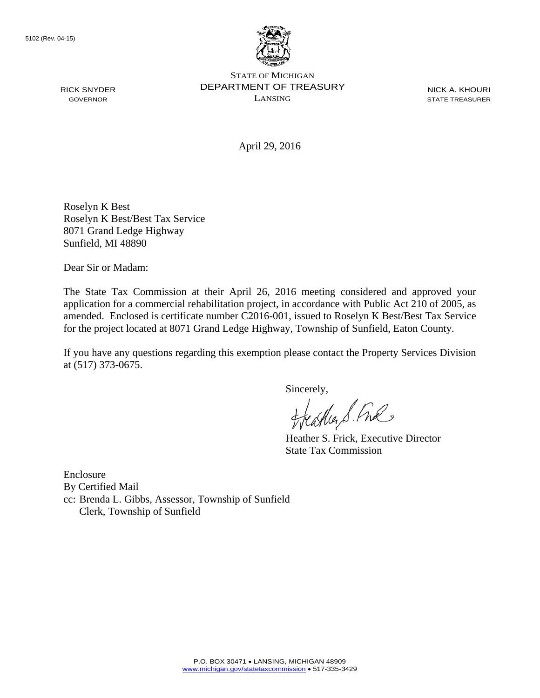

STATE OF MICHIGAN DEPARTMENT OF TREASURY LANSING

NICK A. KHOURI STATE TREASURER

April 29, 2016

Roselyn K Best Roselyn K Best/Best Tax Service 8071 Grand Ledge Highway Sunfield, MI 48890

Dear Sir or Madam:

The State Tax Commission at their April 26, 2016 meeting considered and approved your application for a commercial rehabilitation project, in accordance with Public Act 210 of 2005, as amended. Enclosed is certificate number C2016-001, issued to Roselyn K Best/Best Tax Service for the project located at 8071 Grand Ledge Highway, Township of Sunfield, Eaton County.

If you have any questions regarding this exemption please contact the Property Services Division at (517) 373-0675.

Sincerely,<br>flathers fine

Heather S. Frick, Executive Director State Tax Commission

Enclosure By Certified Mail cc: Brenda L. Gibbs, Assessor, Township of Sunfield Clerk, Township of Sunfield

RICK SNYDER GOVERNOR